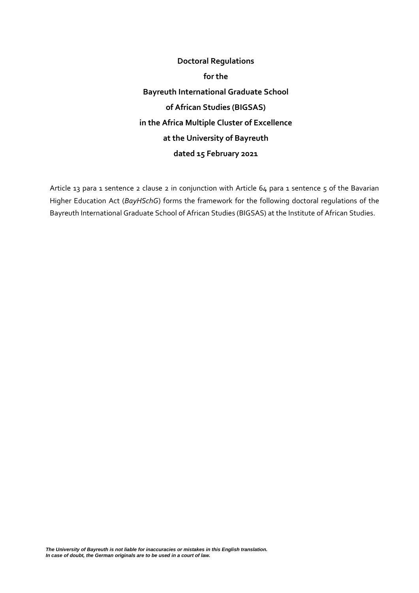**Doctoral Regulations for the Bayreuth International Graduate School of African Studies (BIGSAS) in the Africa Multiple Cluster of Excellence at the University of Bayreuth dated 15 February 2021**

Article 13 para 1 sentence 2 clause 2 in conjunction with Article 64 para 1 sentence 5 of the Bavarian Higher Education Act (*BayHSchG*) forms the framework for the following doctoral regulations of the Bayreuth International Graduate School of African Studies (BIGSAS) at the Institute of African Studies.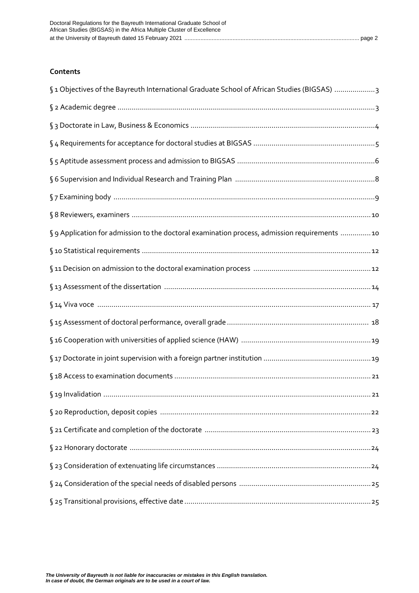### <span id="page-1-0"></span>**Contents**

| §1 Objectives of the Bayreuth International Graduate School of African Studies (BIGSAS) 3     |
|-----------------------------------------------------------------------------------------------|
|                                                                                               |
|                                                                                               |
|                                                                                               |
|                                                                                               |
|                                                                                               |
|                                                                                               |
|                                                                                               |
| § 9 Application for admission to the doctoral examination process, admission requirements  10 |
|                                                                                               |
|                                                                                               |
|                                                                                               |
|                                                                                               |
|                                                                                               |
|                                                                                               |
|                                                                                               |
|                                                                                               |
|                                                                                               |
|                                                                                               |
|                                                                                               |
|                                                                                               |
|                                                                                               |
|                                                                                               |
|                                                                                               |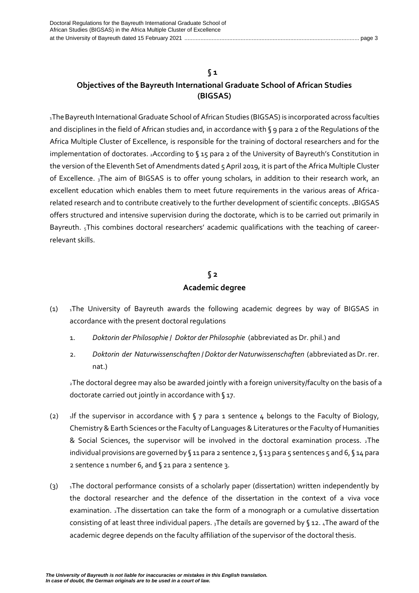### **§ 1**

### **Objectives of the Bayreuth International Graduate School of African Studies (BIGSAS)**

<sup>1</sup>TheBayreuth International Graduate School of African Studies (BIGSAS) is incorporated across faculties and disciplines in the field of African studies and, in accordance with § 9 para 2 of the Regulations of the Africa Multiple Cluster of Excellence, is responsible for the training of doctoral researchers and for the implementation of doctorates. 2According to § 15 para 2 of the University of Bayreuth's Constitution in the version of the Eleventh Set of Amendments dated 5 April 2019, it is part of the Africa Multiple Cluster of Excellence. 3The aim of BIGSAS is to offer young scholars, in addition to their research work, an excellent education which enables them to meet future requirements in the various areas of Africarelated research and to contribute creatively to the further development of scientific concepts. 4BIGSAS offers structured and intensive supervision during the doctorate, which is to be carried out primarily in Bayreuth. 5This combines doctoral researchers' academic qualifications with the teaching of careerrelevant skills.

### **§ 2 Academic degree**

- <span id="page-2-0"></span>(1)  $\sqrt{10}$  1The University of Bayreuth awards the following academic degrees by way of BIGSAS in accordance with the present doctoral regulations
	- 1. *Doktorin der Philosophie* / *Doktor der Philosophie* (abbreviated as Dr. phil.) and
	- 2. *Doktorin der Naturwissenschaften* / *Doktor derNaturwissenschaften* (abbreviated as Dr. rer. nat.)

<sup>2</sup>The doctoral degree may also be awarded jointly with a foreign university/faculty on the basis of a doctorate carried out jointly in accordance with § 17.

- (2)  $\frac{1}{1}$  1If the supervisor in accordance with § 7 para 1 sentence 4 belongs to the Faculty of Biology, Chemistry & Earth Sciences or the Faculty of Languages & Literatures or the Faculty of Humanities & Social Sciences, the supervisor will be involved in the doctoral examination process. 2The individual provisions are governed by §11 para 2 sentence 2, §13 para 5 sentences 5 and 6, §14 para 2 sentence 1 number 6, and § 21 para 2 sentence 3.
- (3) <sup>1</sup>The doctoral performance consists of a scholarly paper (dissertation) written independently by the doctoral researcher and the defence of the dissertation in the context of a viva voce examination. 2The dissertation can take the form of a monograph or a cumulative dissertation consisting of at least three individual papers.  $_3$ The details are governed by § 12.  $_4$ The award of the academic degree depends on the faculty affiliation of the supervisor of the doctoral thesis.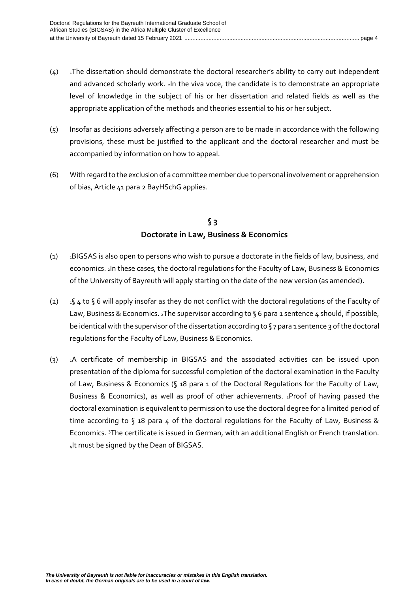- $(4)$  IThe dissertation should demonstrate the doctoral researcher's ability to carry out independent and advanced scholarly work. 2In the viva voce, the candidate is to demonstrate an appropriate level of knowledge in the subject of his or her dissertation and related fields as well as the appropriate application of the methods and theories essential to his or her subject.
- (5) Insofar as decisions adversely affecting a person are to be made in accordance with the following provisions, these must be justified to the applicant and the doctoral researcher and must be accompanied by information on how to appeal.
- (6) With regard to the exclusion of a committee member due to personal involvement or apprehension of bias, Article 41 para 2 BayHSchG applies.

### **§ 3 Doctorate in Law, Business & Economics**

- <span id="page-3-0"></span>(1) <sup>1</sup>BIGSAS is also open to persons who wish to pursue a doctorate in the fields of law, business, and economics. 2In these cases, the doctoral regulations for the Faculty of Law, Business & Economics of the University of Bayreuth will apply starting on the date of the new version (as amended).
- (2)  $1$ § 4 to § 6 will apply insofar as they do not conflict with the doctoral regulations of the Faculty of Law, Business & Economics. 2The supervisor according to §6 para 1 sentence 4 should, if possible, be identical with the supervisor of the dissertation according to  $\sqrt{ }$  7 para 1 sentence 3 of the doctoral regulations for the Faculty of Law, Business & Economics.
- (3) <sup>1</sup>A certificate of membership in BIGSAS and the associated activities can be issued upon presentation of the diploma for successful completion of the doctoral examination in the Faculty of Law, Business & Economics (§ 18 para 1 of the Doctoral Regulations for the Faculty of Law, Business & Economics), as well as proof of other achievements. 2Proof of having passed the doctoral examination is equivalent to permission to use the doctoral degree for a limited period of time according to § 18 para 4 of the doctoral regulations for the Faculty of Law, Business & Economics. <sup>3</sup>The certificate is issued in German, with an additional English or French translation. 4It must be signed by the Dean of BIGSAS.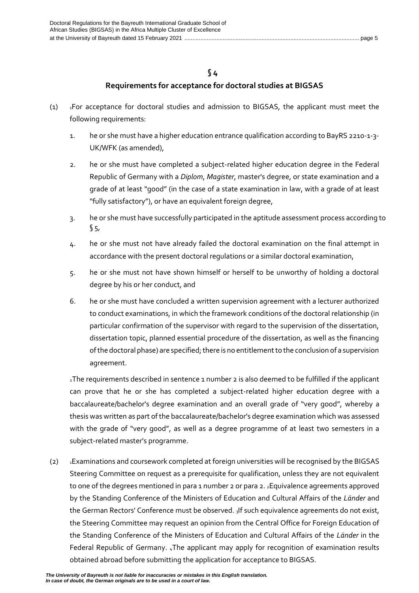### **§ 4**

### **Requirements for acceptance for doctoral studies at BIGSAS**

- <span id="page-4-0"></span> $(1)$  1For acceptance for doctoral studies and admission to BIGSAS, the applicant must meet the following requirements:
	- 1. he or she must have a higher education entrance qualification according to BayRS 2210-1-3- UK/WFK (as amended),
	- 2. he or she must have completed a subject-related higher education degree in the Federal Republic of Germany with a *Diplom*, *Magister*, master's degree, or state examination and a grade of at least "good" (in the case of a state examination in law, with a grade of at least "fully satisfactory"), or have an equivalent foreign degree,
	- 3. he or she must have successfully participated in the aptitude assessment process according to  $$5,$
	- 4. he or she must not have already failed the doctoral examination on the final attempt in accordance with the present doctoral regulations or a similar doctoral examination,
	- 5. he or she must not have shown himself or herself to be unworthy of holding a doctoral degree by his or her conduct, and
	- 6. he or she must have concluded a written supervision agreement with a lecturer authorized to conduct examinations, in which the framework conditions of the doctoral relationship (in particular confirmation of the supervisor with regard to the supervision of the dissertation, dissertation topic, planned essential procedure of the dissertation, as well as the financing of the doctoral phase) are specified; there is no entitlement to the conclusion of a supervision agreement.

<sup>2</sup>The requirements described in sentence 1 number 2 is also deemed to be fulfilled if the applicant can prove that he or she has completed a subject-related higher education degree with a baccalaureate/bachelor's degree examination and an overall grade of "very good", whereby a thesis was written as part of the baccalaureate/bachelor's degree examination which was assessed with the grade of "very good", as well as a degree programme of at least two semesters in a subject-related master's programme.

(2) 1Examinations and coursework completed at foreign universities will be recognised by the BIGSAS Steering Committee on request as a prerequisite for qualification, unless they are not equivalent to one of the degrees mentioned in para 1 number 2 or para 2. 2Equivalence agreements approved by the Standing Conference of the Ministers of Education and Cultural Affairs of the *Länder* and the German Rectors' Conference must be observed. 3If such equivalence agreements do not exist, the Steering Committee may request an opinion from the Central Office for Foreign Education of the Standing Conference of the Ministers of Education and Cultural Affairs of the *Länder* in the Federal Republic of Germany. <sub>4</sub>The applicant may apply for recognition of examination results obtained abroad before submitting the application for acceptance to BIGSAS.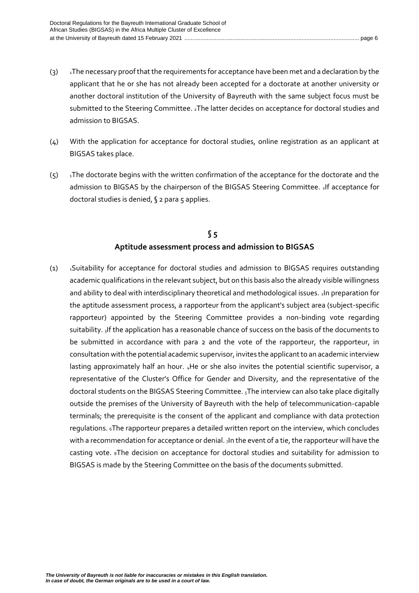- (3) Ihe necessary proof that the requirements for acceptance have been met and a declaration by the applicant that he or she has not already been accepted for a doctorate at another university or another doctoral institution of the University of Bayreuth with the same subject focus must be submitted to the Steering Committee. 2The latter decides on acceptance for doctoral studies and admission to BIGSAS.
- (4) With the application for acceptance for doctoral studies, online registration as an applicant at BIGSAS takes place.
- $(5)$  In the doctorate begins with the written confirmation of the acceptance for the doctorate and the admission to BIGSAS by the chairperson of the BIGSAS Steering Committee. 2If acceptance for doctoral studies is denied, § 2 para 5 applies.

### **§ 5 Aptitude assessment process and admission to BIGSAS**

<span id="page-5-0"></span>(1) <sup>1</sup>Suitability for acceptance for doctoral studies and admission to BIGSAS requires outstanding academic qualifications in the relevant subject, but on this basis also the already visible willingness and ability to deal with interdisciplinary theoretical and methodological issues. 2In preparation for the aptitude assessment process, a rapporteur from the applicant's subject area (subject-specific rapporteur) appointed by the Steering Committee provides a non-binding vote regarding suitability. 3If the application has a reasonable chance of success on the basis of the documents to be submitted in accordance with para 2 and the vote of the rapporteur, the rapporteur, in consultation with the potential academic supervisor, invites the applicant to an academic interview lasting approximately half an hour. 4He or she also invites the potential scientific supervisor, a representative of the Cluster's Office for Gender and Diversity, and the representative of the doctoral students on the BIGSAS Steering Committee. 5The interview can also take place digitally outside the premises of the University of Bayreuth with the help of telecommunication-capable terminals; the prerequisite is the consent of the applicant and compliance with data protection regulations. 6The rapporteur prepares a detailed written report on the interview, which concludes with a recommendation for acceptance or denial. 7In the event of a tie, the rapporteur will have the casting vote. 8The decision on acceptance for doctoral studies and suitability for admission to BIGSAS is made by the Steering Committee on the basis of the documents submitted.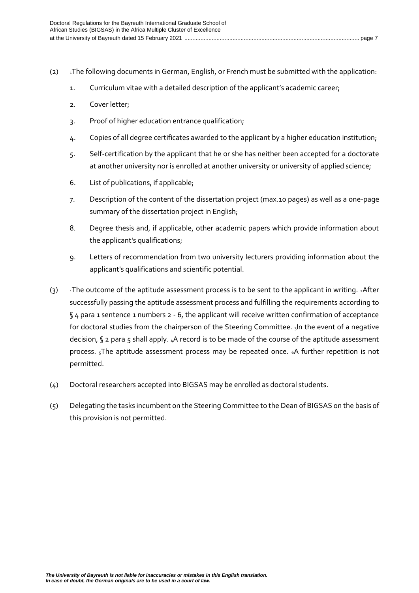- (2)  $\text{I}$ The following documents in German, English, or French must be submitted with the application:
	- 1. Curriculum vitae with a detailed description of the applicant's academic career;
	- 2. Cover letter;
	- 3. Proof of higher education entrance qualification;
	- 4. Copies of all degree certificates awarded to the applicant by a higher education institution;
	- 5. Self-certification by the applicant that he or she has neither been accepted for a doctorate at another university nor is enrolled at another university or university of applied science;
	- 6. List of publications, if applicable;
	- 7. Description of the content of the dissertation project (max.10 pages) as well as a one-page summary of the dissertation project in English;
	- 8. Degree thesis and, if applicable, other academic papers which provide information about the applicant's qualifications;
	- 9. Letters of recommendation from two university lecturers providing information about the applicant's qualifications and scientific potential.
- (3) Ihe outcome of the aptitude assessment process is to be sent to the applicant in writing.  ${}_{2}$ After successfully passing the aptitude assessment process and fulfilling the requirements according to §4 para 1 sentence 1 numbers 2 - 6, the applicant will receive written confirmation of acceptance for doctoral studies from the chairperson of the Steering Committee. 3In the event of a negative decision, § 2 para 5 shall apply. 4A record is to be made of the course of the aptitude assessment process. <sub>5</sub>The aptitude assessment process may be repeated once. 6A further repetition is not permitted.
- (4) Doctoral researchers accepted into BIGSAS may be enrolled as doctoral students.
- (5) Delegating the tasks incumbent on the Steering Committee to the Dean of BIGSAS on the basis of this provision is not permitted.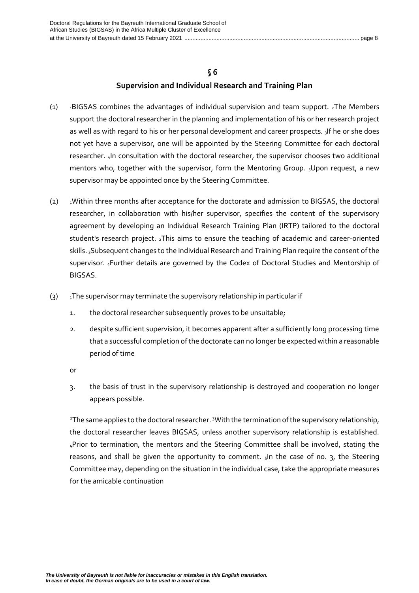### **§ 6**

### **Supervision and Individual Research and Training Plan**

- <span id="page-7-0"></span>(1)  $\overline{1}$  1BIGSAS combines the advantages of individual supervision and team support. 2The Members support the doctoral researcher in the planning and implementation of his or her research project as well as with regard to his or her personal development and career prospects. 3If he or she does not yet have a supervisor, one will be appointed by the Steering Committee for each doctoral researcher. 4In consultation with the doctoral researcher, the supervisor chooses two additional mentors who, together with the supervisor, form the Mentoring Group. 5Upon request, a new supervisor may be appointed once by the Steering Committee.
- $(2)$  <sup>1</sup>Within three months after acceptance for the doctorate and admission to BIGSAS, the doctoral researcher, in collaboration with his/her supervisor, specifies the content of the supervisory agreement by developing an Individual Research Training Plan (IRTP) tailored to the doctoral student's research project. 2This aims to ensure the teaching of academic and career-oriented skills. 3Subsequent changes to the Individual Research and Training Plan require the consent of the supervisor. 4Further details are governed by the Codex of Doctoral Studies and Mentorship of BIGSAS.
- (3)  $\overline{1}$  1The supervisor may terminate the supervisory relationship in particular if
	- 1. the doctoral researcher subsequently proves to be unsuitable;
	- 2. despite sufficient supervision, it becomes apparent after a sufficiently long processing time that a successful completion of the doctorate can no longer be expected within a reasonable period of time
	- or
	- 3. the basis of trust in the supervisory relationship is destroyed and cooperation no longer appears possible.

<sup>2</sup>The same applies to the doctoral researcher. <sup>3</sup>With the termination of the supervisory relationship, the doctoral researcher leaves BIGSAS, unless another supervisory relationship is established. <sup>4</sup>Prior to termination, the mentors and the Steering Committee shall be involved, stating the reasons, and shall be given the opportunity to comment.  $s$ In the case of no.  $3$ , the Steering Committee may, depending on the situation in the individual case, take the appropriate measures for the amicable continuation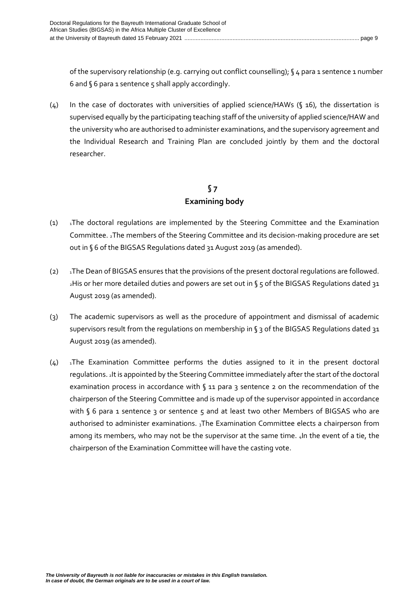of the supervisory relationship (e.g. carrying out conflict counselling); § 4 para 1 sentence 1 number 6 and § 6 para 1 sentence 5 shall apply accordingly.

(4) In the case of doctorates with universities of applied science/HAWs (§ 16), the dissertation is supervised equally by the participating teaching staff of the university of applied science/HAW and the university who are authorised to administer examinations, and the supervisory agreement and the Individual Research and Training Plan are concluded jointly by them and the doctoral researcher.

# **§ 7 Examining body**

- <span id="page-8-0"></span> $(1)$  1The doctoral regulations are implemented by the Steering Committee and the Examination Committee. 2The members of the Steering Committee and its decision-making procedure are set out in § 6 of the BIGSAS Regulations dated 31 August 2019 (as amended).
- (2)  $\text{I}$ The Dean of BIGSAS ensures that the provisions of the present doctoral regulations are followed. <sup>2</sup>His or her more detailed duties and powers are set out in § 5 of the BIGSAS Regulations dated 31 August 2019 (as amended).
- (3) The academic supervisors as well as the procedure of appointment and dismissal of academic supervisors result from the regulations on membership in § 3 of the BIGSAS Regulations dated 31 August 2019 (as amended).
- $(4)$  1The Examination Committee performs the duties assigned to it in the present doctoral regulations. 2It is appointed by the Steering Committee immediately after the start of the doctoral examination process in accordance with  $\zeta$  11 para 3 sentence 2 on the recommendation of the chairperson of the Steering Committee and is made up of the supervisor appointed in accordance with § 6 para 1 sentence 3 or sentence 5 and at least two other Members of BIGSAS who are authorised to administer examinations. 3The Examination Committee elects a chairperson from among its members, who may not be the supervisor at the same time. 4In the event of a tie, the chairperson of the Examination Committee will have the casting vote.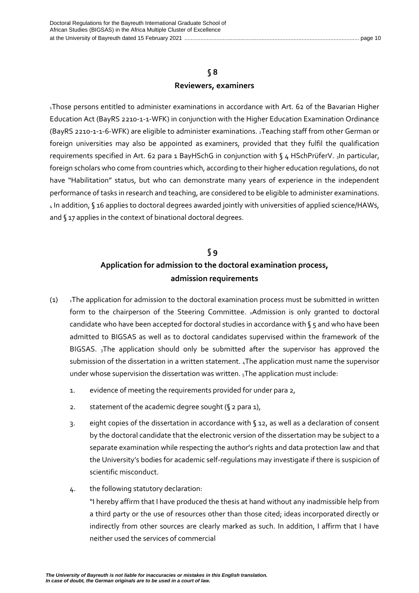### **§ 8 Reviewers, examiners**

<span id="page-9-0"></span><sup>1</sup>Those persons entitled to administer examinations in accordance with Art. 62 of the Bavarian Higher Education Act (BayRS 2210-1-1-WFK) in conjunction with the Higher Education Examination Ordinance (BayRS 2210-1-1-6-WFK) are eligible to administer examinations. 2Teaching staff from other German or foreign universities may also be appointed as examiners, provided that they fulfil the qualification requirements specified in Art. 62 para 1 BayHSchG in conjunction with § 4 HSchPrüferV. 3In particular, foreign scholars who come from countries which, according to their higher education regulations, do not have "Habilitation" status, but who can demonstrate many years of experience in the independent performance of tasks in research and teaching, are considered to be eligible to administer examinations. <sup>4</sup> In addition, § 16 applies to doctoral degrees awarded jointly with universities of applied science/HAWs, and § 17 applies in the context of binational doctoral degrees.

# **§ 9 Application for admission to the doctoral examination process, admission requirements**

- <span id="page-9-1"></span>(1)  $\sqrt{1}$  1The application for admission to the doctoral examination process must be submitted in written form to the chairperson of the Steering Committee. 2Admission is only granted to doctoral candidate who have been accepted for doctoral studies in accordance with  $\zeta$  5 and who have been admitted to BIGSAS as well as to doctoral candidates supervised within the framework of the BIGSAS. 3The application should only be submitted after the supervisor has approved the submission of the dissertation in a written statement. <sub>4</sub>The application must name the supervisor under whose supervision the dissertation was written.  $_5$ The application must include:
	- 1. evidence of meeting the requirements provided for under para 2,
	- 2. statement of the academic degree sought (§ 2 para 1),
	- 3. eight copies of the dissertation in accordance with § 12, as well as a declaration of consent by the doctoral candidate that the electronic version of the dissertation may be subject to a separate examination while respecting the author's rights and data protection law and that the University's bodies for academic self-regulations may investigate if there is suspicion of scientific misconduct.
	- 4. the following statutory declaration:

"I hereby affirm that I have produced the thesis at hand without any inadmissible help from a third party or the use of resources other than those cited; ideas incorporated directly or indirectly from other sources are clearly marked as such. In addition, I affirm that I have neither used the services of commercial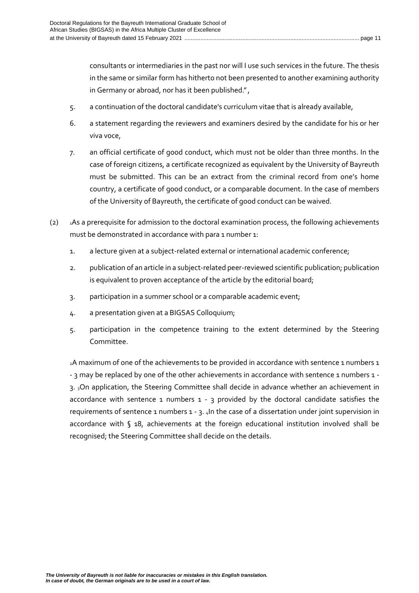consultants or intermediaries in the past nor will I use such services in the future. The thesis in the same or similar form has hitherto not been presented to another examining authority in Germany or abroad, nor has it been published.",

- 5. a continuation of the doctoral candidate's curriculum vitae that is already available,
- 6. a statement regarding the reviewers and examiners desired by the candidate for his or her viva voce,
- 7. an official certificate of good conduct, which must not be older than three months. In the case of foreign citizens, a certificate recognized as equivalent by the University of Bayreuth must be submitted. This can be an extract from the criminal record from one's home country, a certificate of good conduct, or a comparable document. In the case of members of the University of Bayreuth, the certificate of good conduct can be waived.
- (2)  $\blacksquare$  1As a prerequisite for admission to the doctoral examination process, the following achievements must be demonstrated in accordance with para 1 number 1:
	- 1. a lecture given at a subject-related external or international academic conference;
	- 2. publication of an article in a subject-related peer-reviewed scientific publication; publication is equivalent to proven acceptance of the article by the editorial board;
	- 3. participation in a summer school or a comparable academic event;
	- 4. a presentation given at a BIGSAS Colloquium;
	- 5. participation in the competence training to the extent determined by the Steering Committee.

<sup>2</sup>A maximum of one of the achievements to be provided in accordance with sentence 1 numbers 1 - 3 may be replaced by one of the other achievements in accordance with sentence 1 numbers 1 -3. 3On application, the Steering Committee shall decide in advance whether an achievement in accordance with sentence 1 numbers  $1 - 3$  provided by the doctoral candidate satisfies the requirements of sentence 1 numbers 1 - 3. 4In the case of a dissertation under joint supervision in accordance with § 18, achievements at the foreign educational institution involved shall be recognised; the Steering Committee shall decide on the details.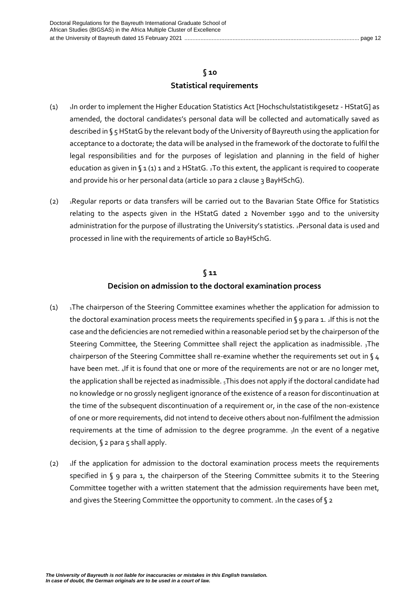### **§ 10 Statistical requirements**

- <span id="page-11-0"></span>(1) <sup>1</sup>In order to implement the Higher Education Statistics Act [Hochschulstatistikgesetz - HStatG] as amended, the doctoral candidates's personal data will be collected and automatically saved as described in § 5 HStatG by the relevant body of the University of Bayreuth using the application for acceptance to a doctorate; the data will be analysed in the framework of the doctorate to fulfil the legal responsibilities and for the purposes of legislation and planning in the field of higher education as given in § 1 (1) 1 and 2 HStatG. 2To this extent, the applicant is required to cooperate and provide his or her personal data (article 10 para 2 clause 3 BayHSchG).
- (2) <sup>1</sup>Regular reports or data transfers will be carried out to the Bavarian State Office for Statistics relating to the aspects given in the HStatG dated 2 November 1990 and to the university administration for the purpose of illustrating the University's statistics. 2Personal data is used and processed in line with the requirements of article 10 BayHSchG.

### **§ 11 Decision on admission to the doctoral examination process**

- <span id="page-11-1"></span>(1) <sup>1</sup>The chairperson of the Steering Committee examines whether the application for admission to the doctoral examination process meets the requirements specified in § 9 para 1. 2If this is not the case and the deficiencies are not remedied within a reasonable period set by the chairperson of the Steering Committee, the Steering Committee shall reject the application as inadmissible.  $_3$ The chairperson of the Steering Committee shall re-examine whether the requirements set out in §4 have been met. 4If it is found that one or more of the requirements are not or are no longer met, the application shall be rejected as inadmissible. 5This does not apply if the doctoral candidate had no knowledge or no grossly negligent ignorance of the existence of a reason for discontinuation at the time of the subsequent discontinuation of a requirement or, in the case of the non-existence of one or more requirements, did not intend to deceive others about non-fulfilment the admission requirements at the time of admission to the degree programme.  $_3$ In the event of a negative decision, § 2 para 5 shall apply.
- (2)  $\mu$ If the application for admission to the doctoral examination process meets the requirements specified in § 9 para 1, the chairperson of the Steering Committee submits it to the Steering Committee together with a written statement that the admission requirements have been met, and gives the Steering Committee the opportunity to comment. 2In the cases of § 2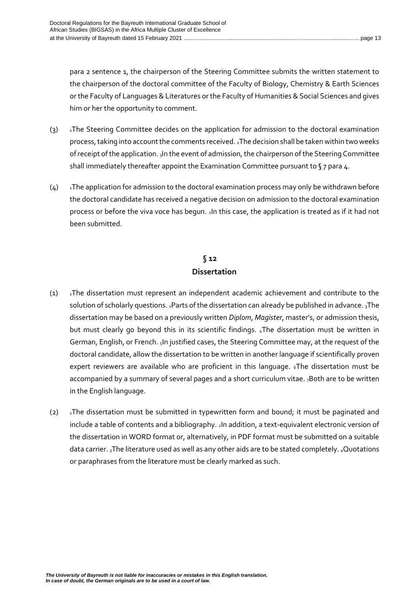para 2 sentence 1, the chairperson of the Steering Committee submits the written statement to the chairperson of the doctoral committee of the Faculty of Biology, Chemistry & Earth Sciences or the Faculty of Languages & Literatures or the Faculty of Humanities & Social Sciences and gives him or her the opportunity to comment.

- $(3)$  1The Steering Committee decides on the application for admission to the doctoral examination process, taking into account the comments received. 2The decision shall be taken within two weeks of receipt of the application. 3In the event of admission, the chairperson of the Steering Committee shall immediately thereafter appoint the Examination Committee pursuant to §7 para 4.
- $(4)$  In The application for admission to the doctoral examination process may only be withdrawn before the doctoral candidate has received a negative decision on admission to the doctoral examination process or before the viva voce has begun. 2In this case, the application is treated as if it had not been submitted.

# **§ 12 Dissertation**

- $(1)$  Ihe dissertation must represent an independent academic achievement and contribute to the solution of scholarly questions. 2Parts of the dissertation can already be published in advance. 3The dissertation may be based on a previously written *Diplom*, *Magister*, master's, or admission thesis, but must clearly go beyond this in its scientific findings. 4The dissertation must be written in German, English, or French. 5In justified cases, the Steering Committee may, at the request of the doctoral candidate, allow the dissertation to be written in another language if scientifically proven expert reviewers are available who are proficient in this language. 6The dissertation must be accompanied by a summary of several pages and a short curriculum vitae. <sub>7</sub>Both are to be written in the English language.
- (2)  $\alpha$ The dissertation must be submitted in typewritten form and bound; it must be paginated and include a table of contents and a bibliography. 2In addition, a text-equivalent electronic version of the dissertation in WORD format or, alternatively, in PDF format must be submitted on a suitable data carrier. 3The literature used as well as any other aids are to be stated completely. 4Quotations or paraphrases from the literature must be clearly marked as such.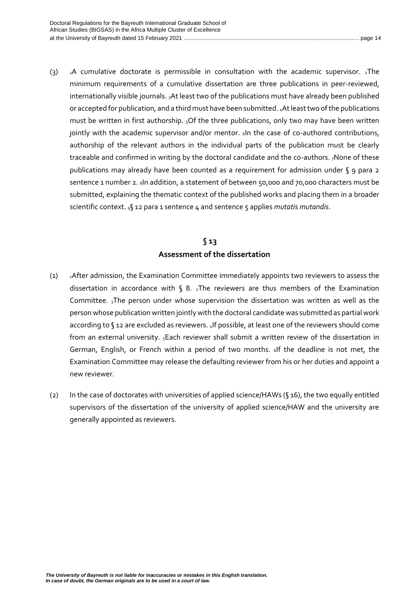(3)  $\mu$  1A cumulative doctorate is permissible in consultation with the academic supervisor. 2The minimum requirements of a cumulative dissertation are three publications in peer-reviewed, internationally visible journals. 3At least two of the publications must have already been published or accepted for publication, and a third must have been submitted. 4At least two ofthe publications must be written in first authorship. <sub>5</sub>Of the three publications, only two may have been written jointly with the academic supervisor and/or mentor. «In the case of co-authored contributions, authorship of the relevant authors in the individual parts of the publication must be clearly traceable and confirmed in writing by the doctoral candidate and the co-authors. 7None of these publications may already have been counted as a requirement for admission under § 9 para 2 sentence 1 number 2. 8In addition, a statement of between 50,000 and 70,000 characters must be submitted, explaining the thematic context of the published works and placing them in a broader scientific context. 9§ 12 para 1 sentence 4 and sentence 5 applies *mutatis mutandis*.

# **§ 13 Assessment of the dissertation**

- <span id="page-13-0"></span>(1) <sup>1</sup>After admission, the Examination Committee immediately appoints two reviewers to assess the dissertation in accordance with  $\sqrt{6}$  8.  $2$ The reviewers are thus members of the Examination Committee.  $3$ The person under whose supervision the dissertation was written as well as the person whose publication written jointly with the doctoral candidate was submitted as partial work according to § 12 are excluded as reviewers. 4If possible, at least one of the reviewers should come from an external university. <sub>5</sub>Each reviewer shall submit a written review of the dissertation in German, English, or French within a period of two months. 6If the deadline is not met, the Examination Committee may release the defaulting reviewer from his or her duties and appoint a new reviewer.
- (2) In the case of doctorates with universities of applied science/HAWs (§ 16), the two equally entitled supervisors of the dissertation of the university of applied science/HAW and the university are generally appointed as reviewers.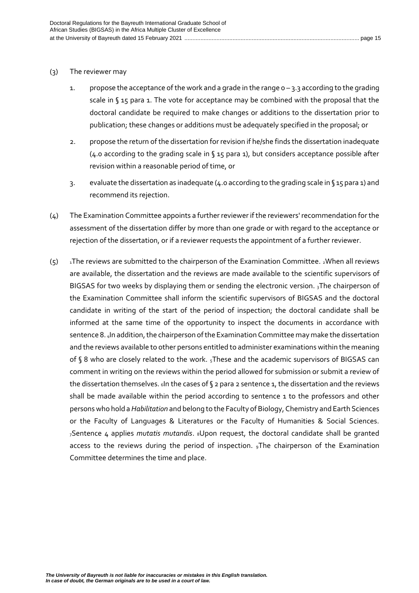#### (3) The reviewer may

- 1. propose the acceptance of the work and a grade in the range  $0 3.3$  according to the grading scale in § 15 para 1. The vote for acceptance may be combined with the proposal that the doctoral candidate be required to make changes or additions to the dissertation prior to publication; these changes or additions must be adequately specified in the proposal; or
- 2. propose the return of the dissertation for revision if he/she finds the dissertation inadequate (4.0 according to the grading scale in § 15 para 1), but considers acceptance possible after revision within a reasonable period of time, or
- 3. evaluate the dissertation as inadequate (4.0 according to the grading scale in § 15 para 1) and recommend its rejection.
- (4) The Examination Committee appoints a further reviewer if the reviewers' recommendation for the assessment of the dissertation differ by more than one grade or with regard to the acceptance or rejection of the dissertation, or if a reviewer requests the appointment of a further reviewer.
- $(5)$  1The reviews are submitted to the chairperson of the Examination Committee. 2When all reviews are available, the dissertation and the reviews are made available to the scientific supervisors of BIGSAS for two weeks by displaying them or sending the electronic version. 3The chairperson of the Examination Committee shall inform the scientific supervisors of BIGSAS and the doctoral candidate in writing of the start of the period of inspection; the doctoral candidate shall be informed at the same time of the opportunity to inspect the documents in accordance with sentence 8. 4In addition, the chairperson of the Examination Committee may make the dissertation and the reviews available to other persons entitled to administer examinations within the meaning of § 8 who are closely related to the work. 5These and the academic supervisors of BIGSAS can comment in writing on the reviews within the period allowed for submission or submit a review of the dissertation themselves. 6In the cases of § 2 para 2 sentence 1, the dissertation and the reviews shall be made available within the period according to sentence 1 to the professors and other persons who hold a *Habilitation* and belong to the Faculty of Biology, Chemistry and Earth Sciences or the Faculty of Languages & Literatures or the Faculty of Humanities & Social Sciences. <sup>7</sup>Sentence 4 applies *mutatis mutandis*. 8Upon request, the doctoral candidate shall be granted access to the reviews during the period of inspection. <sub>9</sub>The chairperson of the Examination Committee determines the time and place.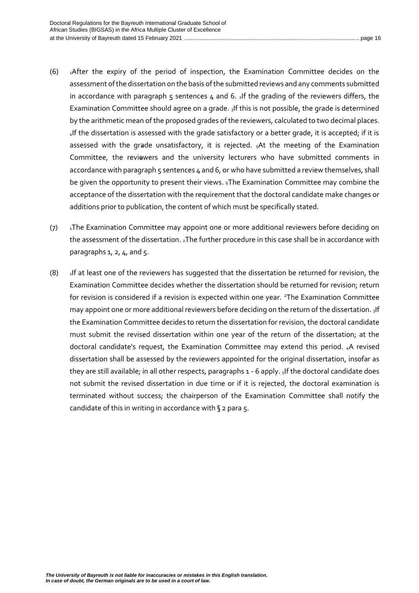- (6)  $_1$ After the expiry of the period of inspection, the Examination Committee decides on the assessment of the dissertation on the basis of the submitted reviews and any comments submitted in accordance with paragraph  $5$  sentences  $4$  and  $6.$   $1$  f the grading of the reviewers differs, the Examination Committee should agree on a grade. 3If this is not possible, the grade is determined by the arithmetic mean of the proposed grades of the reviewers, calculated to two decimal places. 4If the dissertation is assessed with the grade satisfactory or a better grade, it is accepted; if it is assessed with the grade unsatisfactory, it is rejected.  $<sub>5</sub>At$  the meeting of the Examination</sub> Committee, the reviewers and the university lecturers who have submitted comments in accordance with paragraph 5 sentences 4 and 6, or who have submitted a review themselves, shall be given the opportunity to present their views. 6The Examination Committee may combine the acceptance of the dissertation with the requirement that the doctoral candidate make changes or additions prior to publication, the content of which must be specifically stated.
- (7) Ihe Examination Committee may appoint one or more additional reviewers before deciding on the assessment of the dissertation. 2The further procedure in this case shall be in accordance with paragraphs  $1, 2, 4$ , and  $5.$
- $(8)$  1If at least one of the reviewers has suggested that the dissertation be returned for revision, the Examination Committee decides whether the dissertation should be returned for revision; return for revision is considered if a revision is expected within one year. <sup>2</sup>The Examination Committee may appoint one or more additional reviewers before deciding on the return of the dissertation. 3If the Examination Committee decides to return the dissertation for revision, the doctoral candidate must submit the revised dissertation within one year of the return of the dissertation; at the doctoral candidate's request, the Examination Committee may extend this period. 4A revised dissertation shall be assessed by the reviewers appointed for the original dissertation, insofar as they are still available; in all other respects, paragraphs 1 - 6 apply. <sub>5</sub>If the doctoral candidate does not submit the revised dissertation in due time or if it is rejected, the doctoral examination is terminated without success; the chairperson of the Examination Committee shall notify the candidate of this in writing in accordance with  $\zeta$  2 para 5.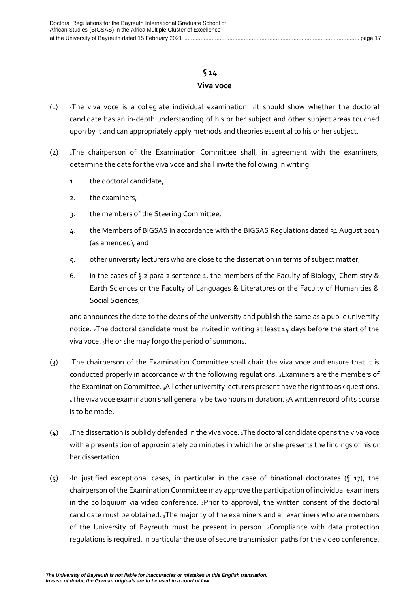# **§ 14**

### **Viva voce**

- <span id="page-16-0"></span>(1)  $\Box$  1The viva voce is a collegiate individual examination.  $\Box$ It should show whether the doctoral candidate has an in-depth understanding of his or her subject and other subject areas touched upon by it and can appropriately apply methods and theories essential to his or her subject.
- (2)  $\lambda$ The chairperson of the Examination Committee shall, in agreement with the examiners, determine the date for the viva voce and shall invite the following in writing:
	- 1. the doctoral candidate,
	- 2. the examiners,
	- 3. the members of the Steering Committee,
	- 4. the Members of BIGSAS in accordance with the BIGSAS Regulations dated 31 August 2019 (as amended), and
	- 5. other university lecturers who are close to the dissertation in terms of subject matter,
	- 6. in the cases of  $\S$  2 para 2 sentence 1, the members of the Faculty of Biology, Chemistry & Earth Sciences or the Faculty of Languages & Literatures or the Faculty of Humanities & Social Sciences,

and announces the date to the deans of the university and publish the same as a public university notice. 2The doctoral candidate must be invited in writing at least 14 days before the start of the viva voce.  $3$ He or she may forgo the period of summons.

- (3)  $\overline{1}$  1The chairperson of the Examination Committee shall chair the viva voce and ensure that it is conducted properly in accordance with the following regulations. 2Examiners are the members of the Examination Committee. 3All other university lecturers present have the right to ask questions. 4The viva voce examination shall generally be two hours in duration. 5A written record of its course is to be made.
- $(4)$  Ihe dissertation is publicly defended in the viva voce. 2The doctoral candidate opens the viva voce with a presentation of approximately 20 minutes in which he or she presents the findings of his or her dissertation.
- $(5)$  1In justified exceptional cases, in particular in the case of binational doctorates (§ 17), the chairperson of the Examination Committee may approve the participation of individual examiners in the colloquium via video conference. 2Prior to approval, the written consent of the doctoral candidate must be obtained.  $3$ The majority of the examiners and all examiners who are members of the University of Bayreuth must be present in person. 4Compliance with data protection regulations is required, in particular the use of secure transmission paths for the video conference.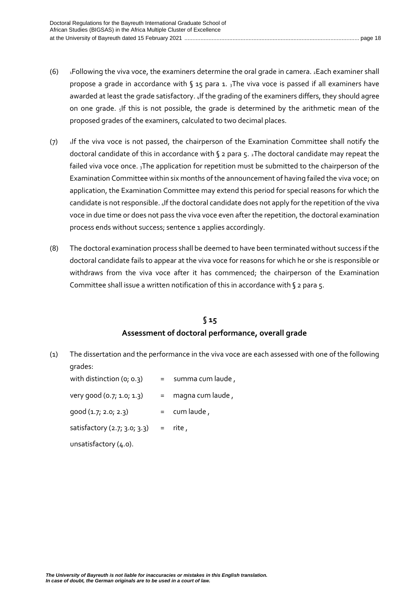- (6)  $\text{I-Following}$  the viva voce, the examiners determine the oral grade in camera.  $\text{I-Each}$  examiner shall propose a grade in accordance with  $\sqrt{3}$  15 para 1.  $\frac{1}{3}$ The viva voce is passed if all examiners have awarded at least the grade satisfactory. 4If the grading of the examiners differs, they should agree on one grade.  $51f$  this is not possible, the grade is determined by the arithmetic mean of the proposed grades of the examiners, calculated to two decimal places.
- $(7)$  If the viva voce is not passed, the chairperson of the Examination Committee shall notify the doctoral candidate of this in accordance with § 2 para 5. 2The doctoral candidate may repeat the failed viva voce once. 3The application for repetition must be submitted to the chairperson of the Examination Committee within six months of the announcement of having failed the viva voce; on application, the Examination Committee may extend this period for special reasons for which the candidate is not responsible. 4If the doctoral candidate does not apply for the repetition of the viva voce in due time or does not pass the viva voce even after the repetition, the doctoral examination process ends without success; sentence 1 applies accordingly.
- (8) The doctoral examination process shall be deemed to have been terminated without success if the doctoral candidate fails to appear at the viva voce for reasons for which he or she is responsible or withdraws from the viva voce after it has commenced; the chairperson of the Examination Committee shall issue a written notification of this in accordance with § 2 para 5.

### **§ 15 Assessment of doctoral performance, overall grade**

<span id="page-17-0"></span>(1) The dissertation and the performance in the viva voce are each assessed with one of the following grades:

with distinction  $(o; o.3)$  = summa cum laude, very good  $(0.7; 1.0; 1.3)$  = magna cum laude, good (1.7; 2.0; 2.3) = cum laude , satisfactory  $(2.7; 3.0; 3.3)$  = rite, unsatisfactory (4.0).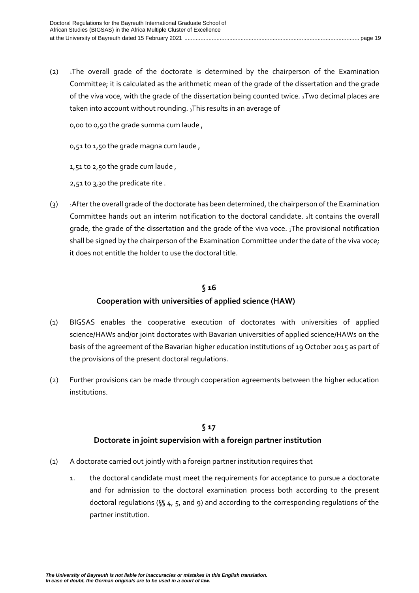(2)  $\overline{1}$ The overall grade of the doctorate is determined by the chairperson of the Examination Committee; it is calculated as the arithmetic mean of the grade of the dissertation and the grade of the viva voce, with the grade of the dissertation being counted twice. 2Two decimal places are taken into account without rounding.  $_3$ This results in an average of

0,00 to 0,50 the grade summa cum laude ,

0,51 to 1,50 the grade magna cum laude ,

1,51 to 2,50 the grade cum laude ,

2,51 to 3,30 the predicate rite .

(3) <sup>1</sup>After the overall grade of the doctorate has been determined, the chairperson of the Examination Committee hands out an interim notification to the doctoral candidate. 2It contains the overall grade, the grade of the dissertation and the grade of the viva voce. 3The provisional notification shall be signed by the chairperson of the Examination Committee under the date of the viva voce; it does not entitle the holder to use the doctoral title.

### **§ 16**

### **Cooperation with universities of applied science (HAW)**

- <span id="page-18-0"></span>(1) BIGSAS enables the cooperative execution of doctorates with universities of applied science/HAWs and/or joint doctorates with Bavarian universities of applied science/HAWs on the basis of the agreement of the Bavarian higher education institutions of 19 October 2015 as part of the provisions of the present doctoral regulations.
- (2) Further provisions can be made through cooperation agreements between the higher education institutions.

### **§ 17**

### **Doctorate in joint supervision with a foreign partner institution**

- <span id="page-18-1"></span>(1) A doctorate carried out jointly with a foreign partner institution requires that
	- 1. the doctoral candidate must meet the requirements for acceptance to pursue a doctorate and for admission to the doctoral examination process both according to the present doctoral regulations ( $\sqrt{\}4$ , 5, and 9) and according to the corresponding regulations of the partner institution.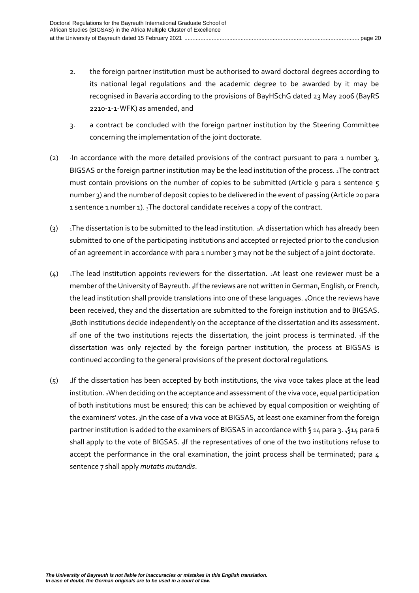- 2. the foreign partner institution must be authorised to award doctoral degrees according to its national legal regulations and the academic degree to be awarded by it may be recognised in Bavaria according to the provisions of BayHSchG dated 23 May 2006 (BayRS 2210-1-1-WFK) as amended, and
- 3. a contract be concluded with the foreign partner institution by the Steering Committee concerning the implementation of the joint doctorate.
- (2)  $\frac{1}{10}$  1.1 accordance with the more detailed provisions of the contract pursuant to para 1 number 3, BIGSAS or the foreign partner institution may be the lead institution of the process. 2The contract must contain provisions on the number of copies to be submitted (Article 9 para 1 sentence 5 number 3) and the number of deposit copies to be delivered in the event of passing (Article 20 para 1 sentence 1 number 1).  $_3$ The doctoral candidate receives a copy of the contract.
- (3)  $\frac{1}{1}$ The dissertation is to be submitted to the lead institution. 2A dissertation which has already been submitted to one of the participating institutions and accepted or rejected prior to the conclusion of an agreement in accordance with para 1 number 3 may not be the subject of a joint doctorate.
- $(4)$  1The lead institution appoints reviewers for the dissertation. 2At least one reviewer must be a member of the University of Bayreuth. 3If the reviews are not written in German, English, or French, the lead institution shall provide translations into one of these languages. 4Once the reviews have been received, they and the dissertation are submitted to the foreign institution and to BIGSAS. 5Both institutions decide independently on the acceptance of the dissertation and its assessment.  $6$ If one of the two institutions rejects the dissertation, the joint process is terminated.  $7$ If the dissertation was only rejected by the foreign partner institution, the process at BIGSAS is continued according to the general provisions of the present doctoral regulations.
- $(5)$  1If the dissertation has been accepted by both institutions, the viva voce takes place at the lead institution. 2When deciding on the acceptance and assessment of the viva voce, equal participation of both institutions must be ensured; this can be achieved by equal composition or weighting of the examiners' votes. 3In the case of a viva voce at BIGSAS, at least one examiner from the foreign partner institution is added to the examiners of BIGSAS in accordance with § 14 para 3. 4§14 para 6 shall apply to the vote of BIGSAS. 5If the representatives of one of the two institutions refuse to accept the performance in the oral examination, the joint process shall be terminated; para 4 sentence 7 shall apply *mutatis mutandis*.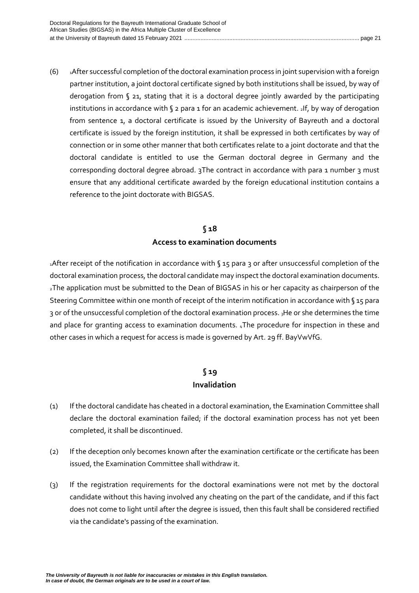(6) <sup>1</sup>After successful completion of the doctoral examination process in joint supervision with a foreign partner institution, a joint doctoral certificate signed by both institutions shall be issued, by way of derogation from § 21, stating that it is a doctoral degree jointly awarded by the participating institutions in accordance with  $\sqrt{2}$  para 1 for an academic achievement. 1f, by way of derogation from sentence 1, a doctoral certificate is issued by the University of Bayreuth and a doctoral certificate is issued by the foreign institution, it shall be expressed in both certificates by way of connection or in some other manner that both certificates relate to a joint doctorate and that the doctoral candidate is entitled to use the German doctoral degree in Germany and the corresponding doctoral degree abroad. 3The contract in accordance with para 1 number 3 must ensure that any additional certificate awarded by the foreign educational institution contains a reference to the joint doctorate with BIGSAS.

# **§ 18 Access to examination documents**

<span id="page-20-0"></span>1After receipt of the notification in accordance with § 15 para 3 or after unsuccessful completion of the doctoral examination process, the doctoral candidate may inspect the doctoral examination documents. <sub>2</sub>The application must be submitted to the Dean of BIGSAS in his or her capacity as chairperson of the Steering Committee within one month of receipt of the interim notification in accordance with § 15 para 3 or of the unsuccessful completion of the doctoral examination process. 3He or she determines the time and place for granting access to examination documents. 4The procedure for inspection in these and other cases in which a request for access is made is governed by Art. 29 ff. BayVwVfG.

# **§ 19 Invalidation**

- <span id="page-20-1"></span>(1) If the doctoral candidate has cheated in a doctoral examination, the Examination Committee shall declare the doctoral examination failed; if the doctoral examination process has not yet been completed, it shall be discontinued.
- (2) If the deception only becomes known after the examination certificate or the certificate has been issued, the Examination Committee shall withdraw it.
- (3) If the registration requirements for the doctoral examinations were not met by the doctoral candidate without this having involved any cheating on the part of the candidate, and if this fact does not come to light until after the degree is issued, then this fault shall be considered rectified via the candidate's passing of the examination.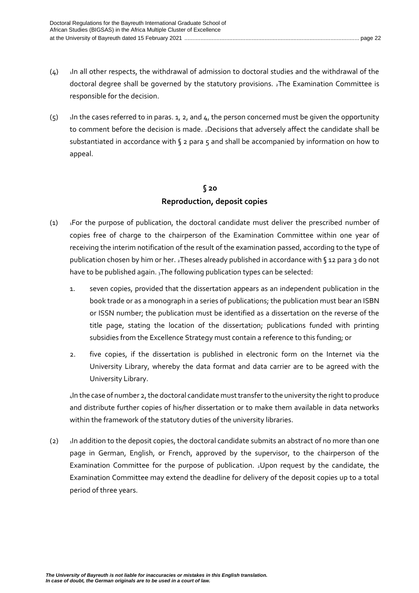- $(4)$  In all other respects, the withdrawal of admission to doctoral studies and the withdrawal of the doctoral degree shall be governed by the statutory provisions. 2The Examination Committee is responsible for the decision.
- $(5)$  1In the cases referred to in paras. 1, 2, and 4, the person concerned must be given the opportunity to comment before the decision is made. 2Decisions that adversely affect the candidate shall be substantiated in accordance with  $\zeta$  2 para 5 and shall be accompanied by information on how to appeal.

# **§ 20 Reproduction, deposit copies**

- <span id="page-21-0"></span>(1) <sup>1</sup>For the purpose of publication, the doctoral candidate must deliver the prescribed number of copies free of charge to the chairperson of the Examination Committee within one year of receiving the interim notification of the result of the examination passed, according to the type of publication chosen by him or her. 2Theses already published in accordance with § 12 para 3 do not have to be published again. 3The following publication types can be selected:
	- 1. seven copies, provided that the dissertation appears as an independent publication in the book trade or as a monograph in a series of publications; the publication must bear an ISBN or ISSN number; the publication must be identified as a dissertation on the reverse of the title page, stating the location of the dissertation; publications funded with printing subsidies from the Excellence Strategy must contain a reference to this funding; or
	- 2. five copies, if the dissertation is published in electronic form on the Internet via the University Library, whereby the data format and data carrier are to be agreed with the University Library.

<sup>4</sup>In the case of number 2, the doctoral candidate must transfer to the university the right to produce and distribute further copies of his/her dissertation or to make them available in data networks within the framework of the statutory duties of the university libraries.

(2) In addition to the deposit copies, the doctoral candidate submits an abstract of no more than one page in German, English, or French, approved by the supervisor, to the chairperson of the Examination Committee for the purpose of publication. 2Upon request by the candidate, the Examination Committee may extend the deadline for delivery of the deposit copies up to a total period of three years.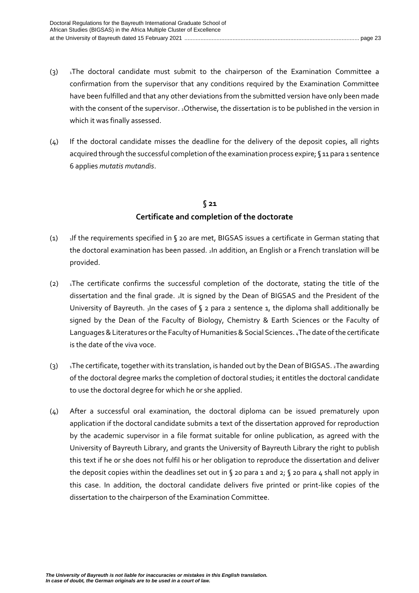- (3)  $\overline{1}$ The doctoral candidate must submit to the chairperson of the Examination Committee a confirmation from the supervisor that any conditions required by the Examination Committee have been fulfilled and that any other deviations from the submitted version have only been made with the consent of the supervisor. 2Otherwise, the dissertation is to be published in the version in which it was finally assessed.
- (4) If the doctoral candidate misses the deadline for the delivery of the deposit copies, all rights acquired through the successful completion of the examination process expire; §11 para 1 sentence 6 applies *mutatis mutandis*.

# **§ 21 Certificate and completion of the doctorate**

- <span id="page-22-0"></span>(1)  $\frac{1}{1}$  1If the requirements specified in § 20 are met, BIGSAS issues a certificate in German stating that the doctoral examination has been passed. 2In addition, an English or a French translation will be provided.
- (2)  $\alpha$ The certificate confirms the successful completion of the doctorate, stating the title of the dissertation and the final grade. 2It is signed by the Dean of BIGSAS and the President of the University of Bayreuth.  $_3$ In the cases of § 2 para 2 sentence 1, the diploma shall additionally be signed by the Dean of the Faculty of Biology, Chemistry & Earth Sciences or the Faculty of Languages & Literatures or the Faculty of Humanities & Social Sciences. 4The date of the certificate is the date of the viva voce.
- (3)  $1$ The certificate, together with its translation, is handed out by the Dean of BIGSAS.  $2$ The awarding of the doctoral degree marks the completion of doctoral studies; it entitles the doctoral candidate to use the doctoral degree for which he or she applied.
- (4) After a successful oral examination, the doctoral diploma can be issued prematurely upon application if the doctoral candidate submits a text of the dissertation approved for reproduction by the academic supervisor in a file format suitable for online publication, as agreed with the University of Bayreuth Library, and grants the University of Bayreuth Library the right to publish this text if he or she does not fulfil his or her obligation to reproduce the dissertation and deliver the deposit copies within the deadlines set out in § 20 para 1 and 2; § 20 para 4 shall not apply in this case. In addition, the doctoral candidate delivers five printed or print-like copies of the dissertation to the chairperson of the Examination Committee.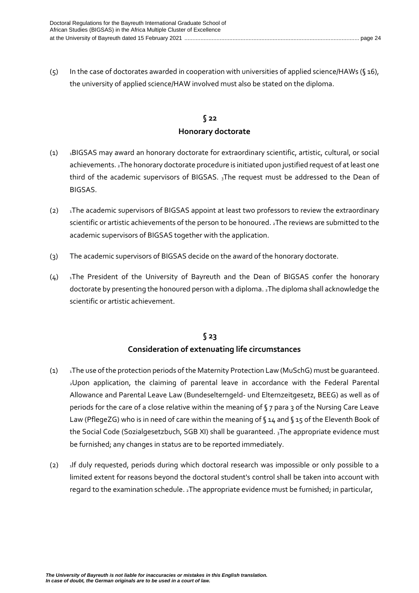(5) In the case of doctorates awarded in cooperation with universities of applied science/HAWs (§ 16), the university of applied science/HAW involved must also be stated on the diploma.

### **§ 22 Honorary doctorate**

- <span id="page-23-0"></span>(1) <sup>1</sup>BIGSAS may award an honorary doctorate for extraordinary scientific, artistic, cultural, or social achievements. 2The honorary doctorate procedure is initiated upon justified request of at least one third of the academic supervisors of BIGSAS.  $_3$ The request must be addressed to the Dean of BIGSAS.
- (2)  $\blacksquare$  1The academic supervisors of BIGSAS appoint at least two professors to review the extraordinary scientific or artistic achievements of the person to be honoured. 2The reviews are submitted to the academic supervisors of BIGSAS together with the application.
- (3) The academic supervisors of BIGSAS decide on the award of the honorary doctorate.
- $(4)$  1The President of the University of Bayreuth and the Dean of BIGSAS confer the honorary doctorate by presenting the honoured person with a diploma. 2The diploma shall acknowledge the scientific or artistic achievement.

### **§ 23 Consideration of extenuating life circumstances**

- <span id="page-23-1"></span>(1)  $\overline{1}$  1The use of the protection periods of the Maternity Protection Law (MuSchG) must be quaranteed. <sup>2</sup>Upon application, the claiming of parental leave in accordance with the Federal Parental Allowance and Parental Leave Law (Bundeselterngeld- und Elternzeitgesetz, BEEG) as well as of periods for the care of a close relative within the meaning of §7 para 3 of the Nursing Care Leave Law (PflegeZG) who is in need of care within the meaning of §14 and §15 of the Eleventh Book of the Social Code (Sozialgesetzbuch, SGB XI) shall be guaranteed. 3The appropriate evidence must be furnished; any changes in status are to be reported immediately.
- (2)  $\mu$ If duly requested, periods during which doctoral research was impossible or only possible to a limited extent for reasons beyond the doctoral student's control shall be taken into account with regard to the examination schedule. 2The appropriate evidence must be furnished; in particular,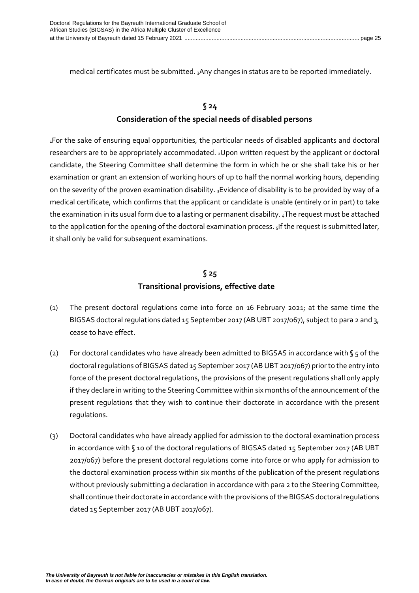medical certificates must be submitted. 3Any changes in status are to be reported immediately.

# **§ 24 Consideration of the special needs of disabled persons**

<span id="page-24-0"></span><sup>1</sup>For the sake of ensuring equal opportunities, the particular needs of disabled applicants and doctoral researchers are to be appropriately accommodated. 2Upon written request by the applicant or doctoral candidate, the Steering Committee shall determine the form in which he or she shall take his or her examination or grant an extension of working hours of up to half the normal working hours, depending on the severity of the proven examination disability. 3Evidence of disability is to be provided by way of a medical certificate, which confirms that the applicant or candidate is unable (entirely or in part) to take the examination in its usual form due to a lasting or permanent disability. 4The request must be attached to the application for the opening of the doctoral examination process. 5If the request is submitted later, it shall only be valid for subsequent examinations.

# **§ 25 Transitional provisions, effective date**

- <span id="page-24-1"></span>(1) The present doctoral regulations come into force on 16 February 2021; at the same time the BIGSAS doctoral regulations dated 15 September 2017 (AB UBT 2017/067), subject to para 2 and 3, cease to have effect.
- (2) For doctoral candidates who have already been admitted to BIGSAS in accordance with § 5 of the doctoral regulations of BIGSAS dated 15 September 2017 (AB UBT 2017/067) prior to the entry into force of the present doctoral regulations, the provisions of the present regulations shall only apply if they declare in writing to the Steering Committee within six months of the announcement of the present regulations that they wish to continue their doctorate in accordance with the present regulations.
- (3) Doctoral candidates who have already applied for admission to the doctoral examination process in accordance with § 10 of the doctoral regulations of BIGSAS dated 15 September 2017 (AB UBT 2017/067) before the present doctoral regulations come into force or who apply for admission to the doctoral examination process within six months of the publication of the present regulations without previously submitting a declaration in accordance with para 2 to the Steering Committee, shall continue their doctorate in accordance with the provisions of the BIGSAS doctoral regulations dated 15 September 2017 (AB UBT 2017/067).